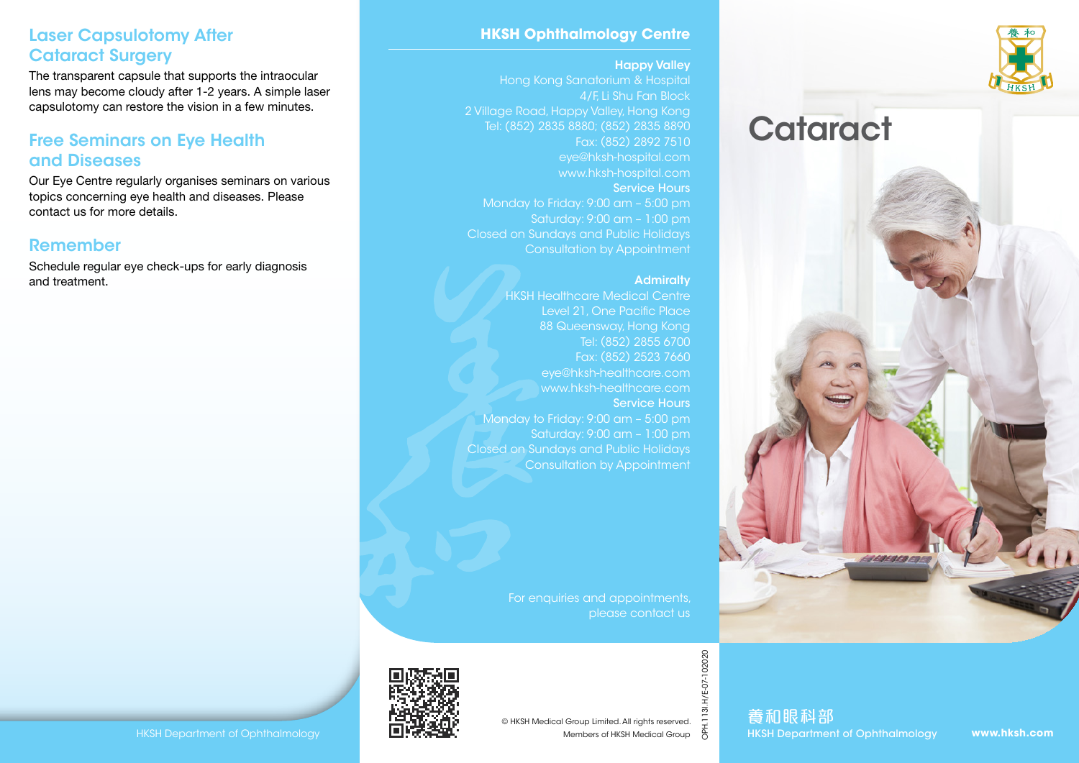



### **HKSH Ophthalmology Centre**

### Happy Valley

Hong Kong Sanatorium & Hospital 4/F, Li Shu Fan Block 2 Village Road, Happy Valley, Hong Kong Tel: (852) 2835 8880; (852) 2835 8890 Fax: (852) 2892 7510 eye@hksh-hospital.com www.hksh-hospital.com Service Hours Monday to Friday: 9:00 am – 5:00 pm Saturday: 9:00 am – 1:00 pm Closed on Sundays and Public Holidays Consultation by Appointment

### **Admiralty**

HKSH Healthcare Medical Centre Level 21, One Pacific Place 88 Queensway, Hong Kong Tel: (852) 2855 6700 Fax: (852) 2523 7660 eye@hksh-healthcare.com www.hksh-healthcare.com Service Hours Monday to Friday: 9:00 am – 5:00 pm Saturday: 9:00 am – 1:00 pm Closed on Sundays and Public Holidays Consultation by Appointment

> For enquiries and appointments, please contact us



OPH.113I.H/E-07-102020

H/E-07-102020

養和眼科部 HAPPER PRESERVED ON THE SUBSERIES ON THE ORIGINAL SERVED ON THE SUBSERIES ON THE SUBSERIES ON THE SUBSERIES ON<br>HKSH Department of Ophthalmology DECENSERIES ON Members of HKSH Medical Group of HKSH Department of Ophthalmol

#### **www.hksh.com**

## Laser Capsulotomy After Cataract Surgery

The transparent capsule that supports the intraocular lens may become cloudy after 1-2 years. A simple laser capsulotomy can restore the vision in a few minutes.

## Free Seminars on Eye Health and Diseases

Our Eye Centre regularly organises seminars on various topics concerning eye health and diseases. Please contact us for more details.

### Remember

Schedule regular eye check-ups for early diagnosis and treatment.